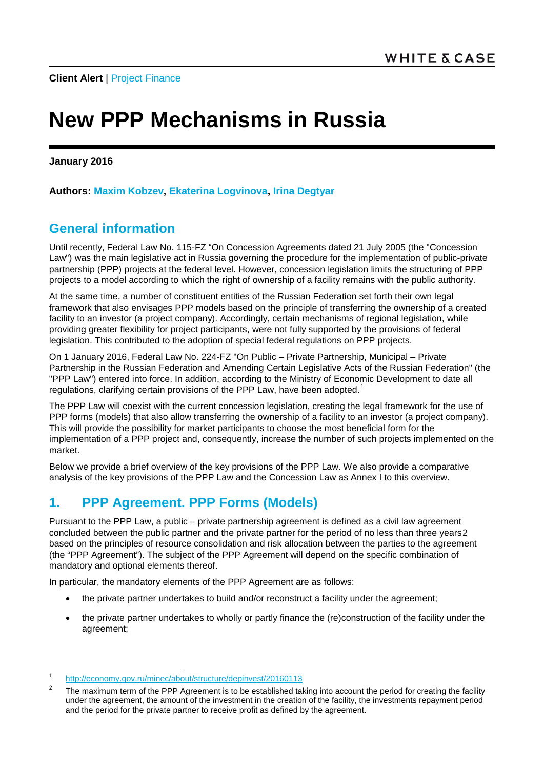# **New PPP Mechanisms in Russia**

**January 2016**

**Authors: [Maxim Kobzev,](http://www.whitecase.com/people/maxim-kobzev) [Ekaterina Logvinova,](http://www.whitecase.com/people/ekaterina-logvinova) [Irina Degtyar](http://www.whitecase.com/people/irina-degtyar)**

### **General information**

Until recently, Federal Law No. 115-FZ "On Concession Agreements dated 21 July 2005 (the "Concession Law") was the main legislative act in Russia governing the procedure for the implementation of public-private partnership (PPP) projects at the federal level. However, concession legislation limits the structuring of PPP projects to a model according to which the right of ownership of a facility remains with the public authority.

At the same time, a number of constituent entities of the Russian Federation set forth their own legal framework that also envisages PPP models based on the principle of transferring the ownership of a created facility to an investor (a project company). Accordingly, certain mechanisms of regional legislation, while providing greater flexibility for project participants, were not fully supported by the provisions of federal legislation. This contributed to the adoption of special federal regulations on PPP projects.

On 1 January 2016, Federal Law No. 224-FZ "On Public – Private Partnership, Municipal – Private Partnership in the Russian Federation and Amending Certain Legislative Acts of the Russian Federation" (the "PPP Law") entered into force. In addition, according to the Ministry of Economic Development to date all regulations, clarifying certain provisions of the PPP Law, have been adopted.<sup>[1](#page-0-0)</sup>

The PPP Law will coexist with the current concession legislation, creating the legal framework for the use of PPP forms (models) that also allow transferring the ownership of a facility to an investor (a project company). This will provide the possibility for market participants to choose the most beneficial form for the implementation of a PPP project and, consequently, increase the number of such projects implemented on the market.

Below we provide a brief overview of the key provisions of the PPP Law. We also provide a comparative analysis of the key provisions of the PPP Law and the Concession Law as Annex I to this overview.

# **1. PPP Agreement. PPP Forms (Models)**

Pursuant to the PPP Law, a public – private partnership agreement is defined as a civil law agreement concluded between the public partner and the private partner for the period of no less than three years[2](#page-0-1) based on the principles of resource consolidation and risk allocation between the parties to the agreement (the "PPP Agreement"). The subject of the PPP Agreement will depend on the specific combination of mandatory and optional elements thereof.

In particular, the mandatory elements of the PPP Agreement are as follows:

- the private partner undertakes to build and/or reconstruct a facility under the agreement;
- the private partner undertakes to wholly or partly finance the (re)construction of the facility under the agreement;

<span id="page-0-0"></span><sup>1</sup> <http://economy.gov.ru/minec/about/structure/depinvest/20160113>

<span id="page-0-1"></span>The maximum term of the PPP Agreement is to be established taking into account the period for creating the facility under the agreement, the amount of the investment in the creation of the facility, the investments repayment period and the period for the private partner to receive profit as defined by the agreement.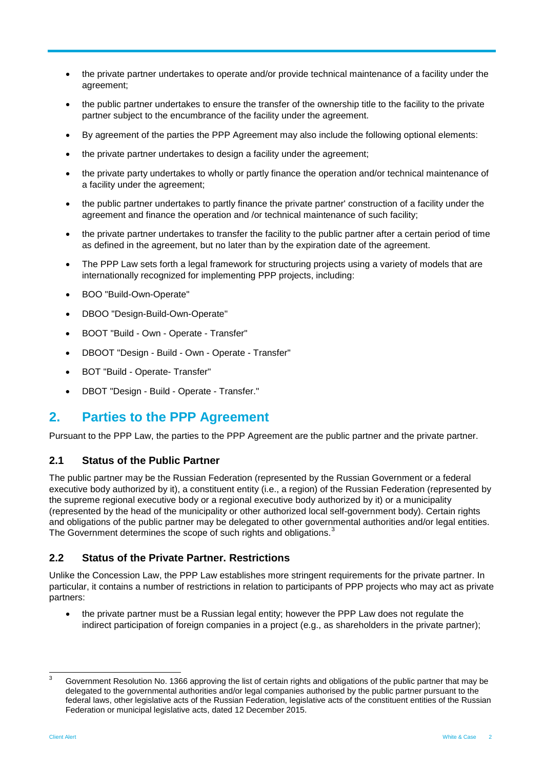- the private partner undertakes to operate and/or provide technical maintenance of a facility under the agreement;
- the public partner undertakes to ensure the transfer of the ownership title to the facility to the private partner subject to the encumbrance of the facility under the agreement.
- By agreement of the parties the PPP Agreement may also include the following optional elements:
- the private partner undertakes to design a facility under the agreement;
- the private party undertakes to wholly or partly finance the operation and/or technical maintenance of a facility under the agreement;
- the public partner undertakes to partly finance the private partner' construction of a facility under the agreement and finance the operation and /or technical maintenance of such facility;
- the private partner undertakes to transfer the facility to the public partner after a certain period of time as defined in the agreement, but no later than by the expiration date of the agreement.
- The PPP Law sets forth a legal framework for structuring projects using a variety of models that are internationally recognized for implementing PPP projects, including:
- BOO "Build-Own-Operate"
- DBOO "Design-Build-Own-Operate"
- BOOT "Build Own Operate Transfer"
- DBOOT "Design Build Own Operate Transfer"
- BOT "Build Operate- Transfer"
- DBOT "Design Build Operate Transfer."

### **2. Parties to the PPP Agreement**

Pursuant to the PPP Law, the parties to the PPP Agreement are the public partner and the private partner.

#### **2.1 Status of the Public Partner**

The public partner may be the Russian Federation (represented by the Russian Government or a federal executive body authorized by it), a constituent entity (i.e., a region) of the Russian Federation (represented by the supreme regional executive body or a regional executive body authorized by it) or a municipality (represented by the head of the municipality or other authorized local self-government body). Certain rights and obligations of the public partner may be delegated to other governmental authorities and/or legal entities. The Government determines the scope of such rights and obligations.<sup>[3](#page-1-0)</sup>

#### **2.2 Status of the Private Partner. Restrictions**

Unlike the Concession Law, the PPP Law establishes more stringent requirements for the private partner. In particular, it contains a number of restrictions in relation to participants of PPP projects who may act as private partners:

• the private partner must be a Russian legal entity; however the PPP Law does not regulate the indirect participation of foreign companies in a project (e.g., as shareholders in the private partner);

<span id="page-1-0"></span> $3$  Government Resolution No. 1366 approving the list of certain rights and obligations of the public partner that may be delegated to the governmental authorities and/or legal companies authorised by the public partner pursuant to the federal laws, other legislative acts of the Russian Federation, legislative acts of the constituent entities of the Russian Federation or municipal legislative acts, dated 12 December 2015.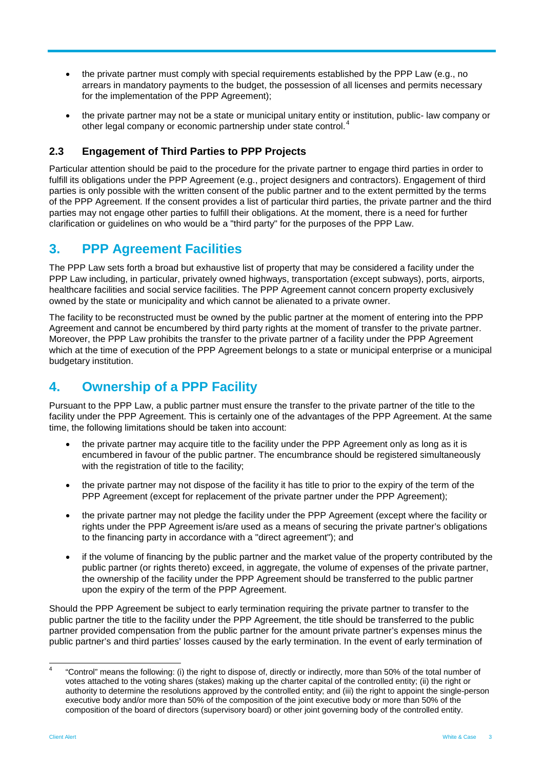- the private partner must comply with special requirements established by the PPP Law (e.g., no arrears in mandatory payments to the budget, the possession of all licenses and permits necessary for the implementation of the PPP Agreement);
- the private partner may not be a state or municipal unitary entity or institution, public- law company or other legal company or economic partnership under state control.[4](#page-2-0)

#### **2.3 Engagement of Third Parties to PPP Projects**

Particular attention should be paid to the procedure for the private partner to engage third parties in order to fulfill its obligations under the PPP Agreement (e.g., project designers and contractors). Engagement of third parties is only possible with the written consent of the public partner and to the extent permitted by the terms of the PPP Agreement. If the consent provides a list of particular third parties, the private partner and the third parties may not engage other parties to fulfill their obligations. At the moment, there is a need for further clarification or guidelines on who would be a "third party" for the purposes of the PPP Law.

### **3. PPP Agreement Facilities**

The PPP Law sets forth a broad but exhaustive list of property that may be considered a facility under the PPP Law including, in particular, privately owned highways, transportation (except subways), ports, airports, healthcare facilities and social service facilities. The PPP Agreement cannot concern property exclusively owned by the state or municipality and which cannot be alienated to a private owner.

The facility to be reconstructed must be owned by the public partner at the moment of entering into the PPP Agreement and cannot be encumbered by third party rights at the moment of transfer to the private partner. Moreover, the PPP Law prohibits the transfer to the private partner of a facility under the PPP Agreement which at the time of execution of the PPP Agreement belongs to a state or municipal enterprise or a municipal budgetary institution.

### **4. Ownership of a PPP Facility**

Pursuant to the PPP Law, a public partner must ensure the transfer to the private partner of the title to the facility under the PPP Agreement. This is certainly one of the advantages of the PPP Agreement. At the same time, the following limitations should be taken into account:

- the private partner may acquire title to the facility under the PPP Agreement only as long as it is encumbered in favour of the public partner. The encumbrance should be registered simultaneously with the registration of title to the facility;
- the private partner may not dispose of the facility it has title to prior to the expiry of the term of the PPP Agreement (except for replacement of the private partner under the PPP Agreement);
- the private partner may not pledge the facility under the PPP Agreement (except where the facility or rights under the PPP Agreement is/are used as a means of securing the private partner's obligations to the financing party in accordance with a "direct agreement"); and
- if the volume of financing by the public partner and the market value of the property contributed by the public partner (or rights thereto) exceed, in aggregate, the volume of expenses of the private partner, the ownership of the facility under the PPP Agreement should be transferred to the public partner upon the expiry of the term of the PPP Agreement.

Should the PPP Agreement be subject to early termination requiring the private partner to transfer to the public partner the title to the facility under the PPP Agreement, the title should be transferred to the public partner provided compensation from the public partner for the amount private partner's expenses minus the public partner's and third parties' losses caused by the early termination. In the event of early termination of

<span id="page-2-0"></span> <sup>4</sup> "Control" means the following: (i) the right to dispose of, directly or indirectly, more than 50% of the total number of votes attached to the voting shares (stakes) making up the charter capital of the controlled entity; (ii) the right or authority to determine the resolutions approved by the controlled entity; and (iii) the right to appoint the single-person executive body and/or more than 50% of the composition of the joint executive body or more than 50% of the composition of the board of directors (supervisory board) or other joint governing body of the controlled entity.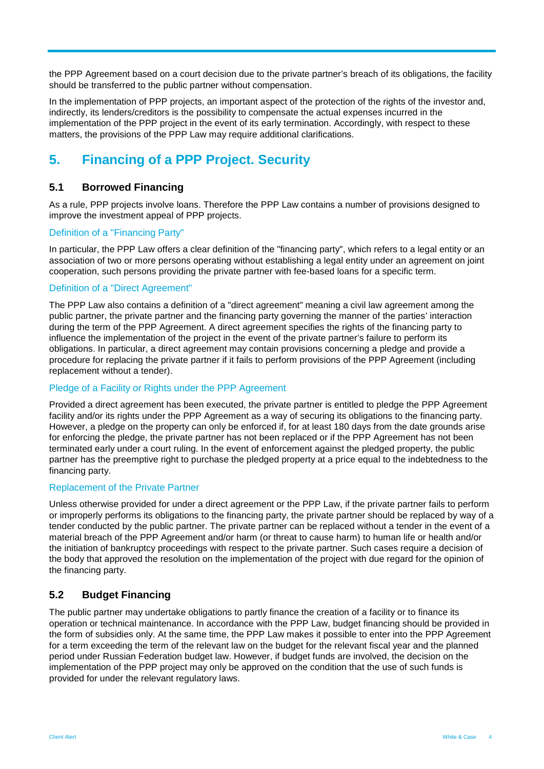the PPP Agreement based on a court decision due to the private partner's breach of its obligations, the facility should be transferred to the public partner without compensation.

In the implementation of PPP projects, an important aspect of the protection of the rights of the investor and, indirectly, its lenders/creditors is the possibility to compensate the actual expenses incurred in the implementation of the PPP project in the event of its early termination. Accordingly, with respect to these matters, the provisions of the PPP Law may require additional clarifications.

# **5. Financing of a PPP Project. Security**

### **5.1 Borrowed Financing**

As a rule, PPP projects involve loans. Therefore the PPP Law contains a number of provisions designed to improve the investment appeal of PPP projects.

#### Definition of a "Financing Party"

In particular, the PPP Law offers a clear definition of the "financing party", which refers to a legal entity or an association of two or more persons operating without establishing a legal entity under an agreement on joint cooperation, such persons providing the private partner with fee-based loans for a specific term.

#### Definition of a "Direct Agreement"

The PPP Law also contains a definition of a "direct agreement" meaning a civil law agreement among the public partner, the private partner and the financing party governing the manner of the parties' interaction during the term of the PPP Agreement. A direct agreement specifies the rights of the financing party to influence the implementation of the project in the event of the private partner's failure to perform its obligations. In particular, a direct agreement may contain provisions concerning a pledge and provide a procedure for replacing the private partner if it fails to perform provisions of the PPP Agreement (including replacement without a tender).

#### Pledge of a Facility or Rights under the PPP Agreement

Provided a direct agreement has been executed, the private partner is entitled to pledge the PPP Agreement facility and/or its rights under the PPP Agreement as a way of securing its obligations to the financing party. However, a pledge on the property can only be enforced if, for at least 180 days from the date grounds arise for enforcing the pledge, the private partner has not been replaced or if the PPP Agreement has not been terminated early under a court ruling. In the event of enforcement against the pledged property, the public partner has the preemptive right to purchase the pledged property at a price equal to the indebtedness to the financing party.

#### Replacement of the Private Partner

Unless otherwise provided for under a direct agreement or the PPP Law, if the private partner fails to perform or improperly performs its obligations to the financing party, the private partner should be replaced by way of a tender conducted by the public partner. The private partner can be replaced without a tender in the event of a material breach of the PPP Agreement and/or harm (or threat to cause harm) to human life or health and/or the initiation of bankruptcy proceedings with respect to the private partner. Such cases require a decision of the body that approved the resolution on the implementation of the project with due regard for the opinion of the financing party.

#### **5.2 Budget Financing**

The public partner may undertake obligations to partly finance the creation of a facility or to finance its operation or technical maintenance. In accordance with the PPP Law, budget financing should be provided in the form of subsidies only. At the same time, the PPP Law makes it possible to enter into the PPP Agreement for a term exceeding the term of the relevant law on the budget for the relevant fiscal year and the planned period under Russian Federation budget law. However, if budget funds are involved, the decision on the implementation of the PPP project may only be approved on the condition that the use of such funds is provided for under the relevant regulatory laws.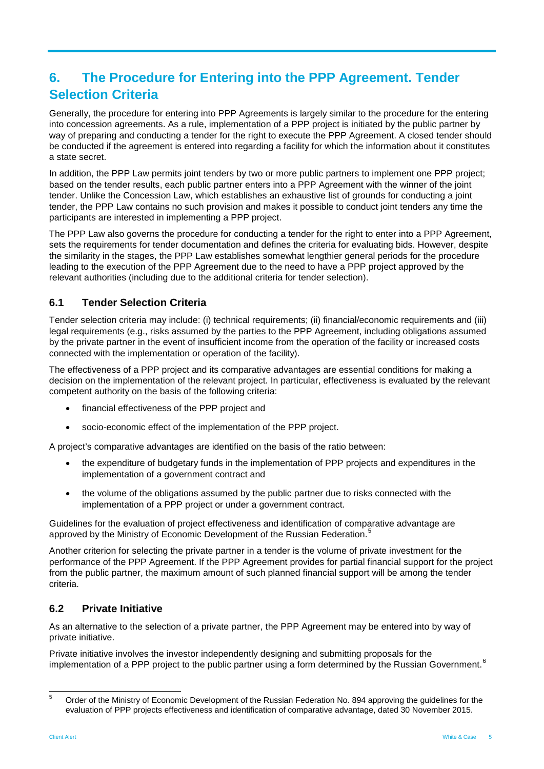# **6. The Procedure for Entering into the PPP Agreement. Tender Selection Criteria**

Generally, the procedure for entering into PPP Agreements is largely similar to the procedure for the entering into concession agreements. As a rule, implementation of a PPP project is initiated by the public partner by way of preparing and conducting a tender for the right to execute the PPP Agreement. A closed tender should be conducted if the agreement is entered into regarding a facility for which the information about it constitutes a state secret.

In addition, the PPP Law permits joint tenders by two or more public partners to implement one PPP project; based on the tender results, each public partner enters into a PPP Agreement with the winner of the joint tender. Unlike the Concession Law, which establishes an exhaustive list of grounds for conducting a joint tender, the PPP Law contains no such provision and makes it possible to conduct joint tenders any time the participants are interested in implementing a PPP project.

The PPP Law also governs the procedure for conducting a tender for the right to enter into a PPP Agreement, sets the requirements for tender documentation and defines the criteria for evaluating bids. However, despite the similarity in the stages, the PPP Law establishes somewhat lengthier general periods for the procedure leading to the execution of the PPP Agreement due to the need to have a PPP project approved by the relevant authorities (including due to the additional criteria for tender selection).

### **6.1 Tender Selection Criteria**

Tender selection criteria may include: (i) technical requirements; (ii) financial/economic requirements and (iii) legal requirements (e.g., risks assumed by the parties to the PPP Agreement, including obligations assumed by the private partner in the event of insufficient income from the operation of the facility or increased costs connected with the implementation or operation of the facility).

The effectiveness of a PPP project and its comparative advantages are essential conditions for making a decision on the implementation of the relevant project. In particular, effectiveness is evaluated by the relevant competent authority on the basis of the following criteria:

- financial effectiveness of the PPP project and
- socio-economic effect of the implementation of the PPP project.

A project's comparative advantages are identified on the basis of the ratio between:

- the expenditure of budgetary funds in the implementation of PPP projects and expenditures in the implementation of a government contract and
- the volume of the obligations assumed by the public partner due to risks connected with the implementation of a PPP project or under a government contract.

Guidelines for the evaluation of project effectiveness and identification of comparative advantage are approved by the Ministry of Economic Development of the Russian Federation.<sup>[5](#page-4-0)</sup>

Another criterion for selecting the private partner in a tender is the volume of private investment for the performance of the PPP Agreement. If the PPP Agreement provides for partial financial support for the project from the public partner, the maximum amount of such planned financial support will be among the tender criteria.

### <span id="page-4-1"></span>**6.2 Private Initiative**

As an alternative to the selection of a private partner, the PPP Agreement may be entered into by way of private initiative.

Private initiative involves the investor independently designing and submitting proposals for the implementation of a PPP project to the public partner using a form determined by the Russian Government.<sup>[6](#page-4-1)</sup>

<span id="page-4-0"></span><sup>&</sup>lt;sup>5</sup> Order of the Ministry of Economic Development of the Russian Federation No. 894 approving the guidelines for the evaluation of PPP projects effectiveness and identification of comparative advantage, dated 30 November 2015.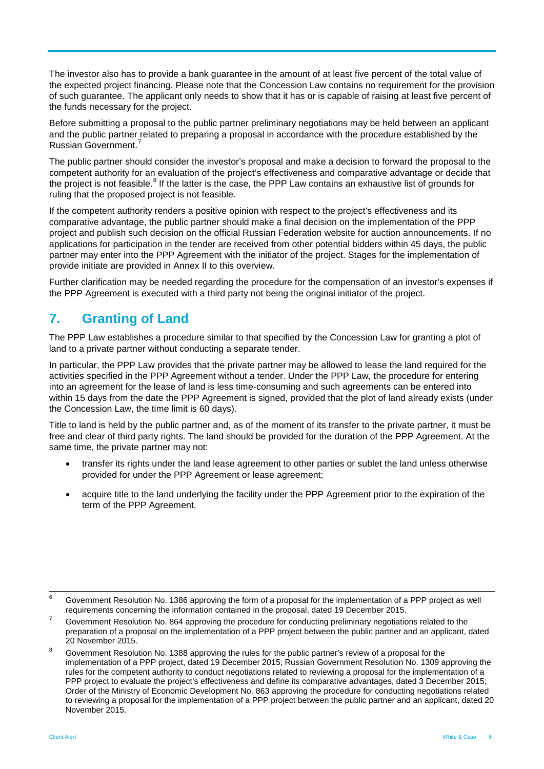The investor also has to provide a bank guarantee in the amount of at least five percent of the total value of the expected project financing. Please note that the Concession Law contains no requirement for the provision of such guarantee. The applicant only needs to show that it has or is capable of raising at least five percent of the funds necessary for the project.

Before submitting a proposal to the public partner preliminary negotiations may be held between an applicant and the public partner related to preparing a proposal in accordance with the procedure established by the Russian Government.[7](#page-5-0)

The public partner should consider the investor's proposal and make a decision to forward the proposal to the competent authority for an evaluation of the project's effectiveness and comparative advantage or decide that the project is not feasible. $8$  If the latter is the case, the PPP Law contains an exhaustive list of grounds for ruling that the proposed project is not feasible.

If the competent authority renders a positive opinion with respect to the project's effectiveness and its comparative advantage, the public partner should make a final decision on the implementation of the PPP project and publish such decision on the official Russian Federation website for auction announcements. If no applications for participation in the tender are received from other potential bidders within 45 days, the public partner may enter into the PPP Agreement with the initiator of the project. Stages for the implementation of provide initiate are provided in Annex II to this overview.

Further clarification may be needed regarding the procedure for the compensation of an investor's expenses if the PPP Agreement is executed with a third party not being the original initiator of the project.

### **7. Granting of Land**

The PPP Law establishes a procedure similar to that specified by the Concession Law for granting a plot of land to a private partner without conducting a separate tender.

In particular, the PPP Law provides that the private partner may be allowed to lease the land required for the activities specified in the PPP Agreement without a tender. Under the PPP Law, the procedure for entering into an agreement for the lease of land is less time-consuming and such agreements can be entered into within 15 days from the date the PPP Agreement is signed, provided that the plot of land already exists (under the Concession Law, the time limit is 60 days).

Title to land is held by the public partner and, as of the moment of its transfer to the private partner, it must be free and clear of third party rights. The land should be provided for the duration of the PPP Agreement. At the same time, the private partner may not:

- transfer its rights under the land lease agreement to other parties or sublet the land unless otherwise provided for under the PPP Agreement or lease agreement;
- acquire title to the land underlying the facility under the PPP Agreement prior to the expiration of the term of the PPP Agreement.

 $6$  Government Resolution No. 1386 approving the form of a proposal for the implementation of a PPP project as well requirements concerning the information contained in the proposal, dated 19 December 2015.

<span id="page-5-0"></span><sup>&</sup>lt;sup>7</sup> Government Resolution No. 864 approving the procedure for conducting preliminary negotiations related to the preparation of a proposal on the implementation of a PPP project between the public partner and an applicant, dated 20 November 2015.

<span id="page-5-1"></span><sup>&</sup>lt;sup>8</sup> Government Resolution No. 1388 approving the rules for the public partner's review of a proposal for the implementation of a PPP project, dated 19 December 2015; Russian Government Resolution No. 1309 approving the rules for the competent authority to conduct negotiations related to reviewing a proposal for the implementation of a PPP project to evaluate the project's effectiveness and define its comparative advantages, dated 3 December 2015; Order of the Ministry of Economic Development No. 863 approving the procedure for conducting negotiations related to reviewing a proposal for the implementation of a PPP project between the public partner and an applicant, dated 20 November 2015.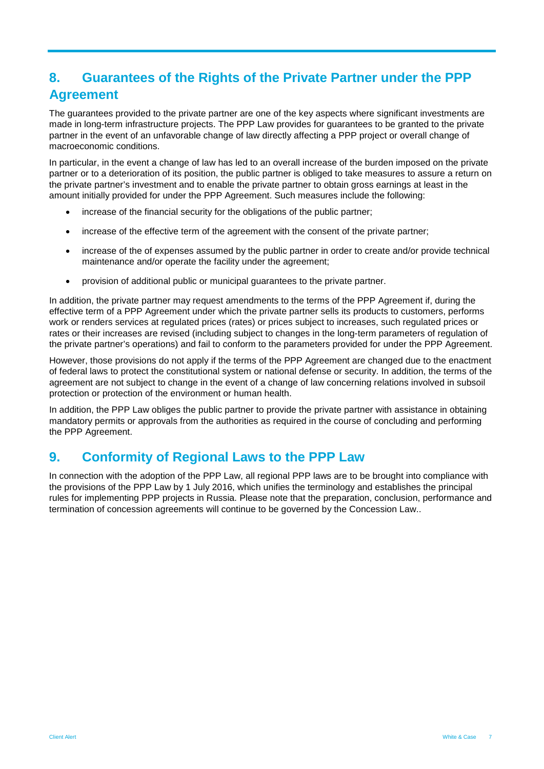# **8. Guarantees of the Rights of the Private Partner under the PPP Agreement**

The guarantees provided to the private partner are one of the key aspects where significant investments are made in long-term infrastructure projects. The PPP Law provides for guarantees to be granted to the private partner in the event of an unfavorable change of law directly affecting a PPP project or overall change of macroeconomic conditions.

In particular, in the event a change of law has led to an overall increase of the burden imposed on the private partner or to a deterioration of its position, the public partner is obliged to take measures to assure a return on the private partner's investment and to enable the private partner to obtain gross earnings at least in the amount initially provided for under the PPP Agreement. Such measures include the following:

- increase of the financial security for the obligations of the public partner;
- increase of the effective term of the agreement with the consent of the private partner;
- increase of the of expenses assumed by the public partner in order to create and/or provide technical maintenance and/or operate the facility under the agreement;
- provision of additional public or municipal guarantees to the private partner.

In addition, the private partner may request amendments to the terms of the PPP Agreement if, during the effective term of a PPP Agreement under which the private partner sells its products to customers, performs work or renders services at regulated prices (rates) or prices subject to increases, such regulated prices or rates or their increases are revised (including subject to changes in the long-term parameters of regulation of the private partner's operations) and fail to conform to the parameters provided for under the PPP Agreement.

However, those provisions do not apply if the terms of the PPP Agreement are changed due to the enactment of federal laws to protect the constitutional system or national defense or security. In addition, the terms of the agreement are not subject to change in the event of a change of law concerning relations involved in subsoil protection or protection of the environment or human health.

In addition, the PPP Law obliges the public partner to provide the private partner with assistance in obtaining mandatory permits or approvals from the authorities as required in the course of concluding and performing the PPP Agreement.

### **9. Conformity of Regional Laws to the PPP Law**

In connection with the adoption of the PPP Law, all regional PPP laws are to be brought into compliance with the provisions of the PPP Law by 1 July 2016, which unifies the terminology and establishes the principal rules for implementing PPP projects in Russia. Please note that the preparation, conclusion, performance and termination of concession agreements will continue to be governed by the Concession Law..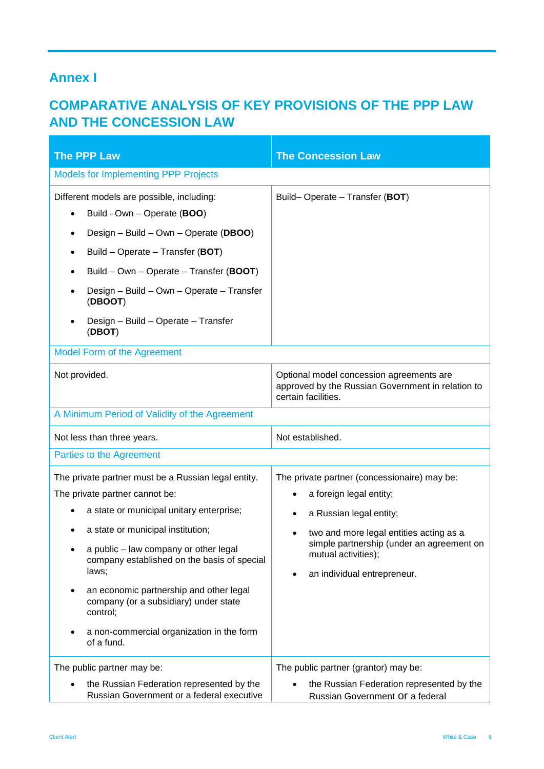### **Annex I**

## **COMPARATIVE ANALYSIS OF KEY PROVISIONS OF THE PPP LAW AND THE CONCESSION LAW**

| <b>The PPP Law</b>                                                                                                                                                                                                                                                                                                                                                                                                                 | <b>The Concession Law</b>                                                                                                                                                                                                                                                  |  |
|------------------------------------------------------------------------------------------------------------------------------------------------------------------------------------------------------------------------------------------------------------------------------------------------------------------------------------------------------------------------------------------------------------------------------------|----------------------------------------------------------------------------------------------------------------------------------------------------------------------------------------------------------------------------------------------------------------------------|--|
| <b>Models for Implementing PPP Projects</b>                                                                                                                                                                                                                                                                                                                                                                                        |                                                                                                                                                                                                                                                                            |  |
| Different models are possible, including:<br>Build -Own - Operate (BOO)<br>Design - Build - Own - Operate (DBOO)<br>Build – Operate – Transfer (BOT)<br>Build - Own - Operate - Transfer (BOOT)<br>Design - Build - Own - Operate - Transfer<br>(DBOOT)<br>Design - Build - Operate - Transfer<br>(DBOT)                                                                                                                           | Build-Operate - Transfer (BOT)                                                                                                                                                                                                                                             |  |
| <b>Model Form of the Agreement</b>                                                                                                                                                                                                                                                                                                                                                                                                 |                                                                                                                                                                                                                                                                            |  |
| Not provided.                                                                                                                                                                                                                                                                                                                                                                                                                      | Optional model concession agreements are<br>approved by the Russian Government in relation to<br>certain facilities.                                                                                                                                                       |  |
| A Minimum Period of Validity of the Agreement                                                                                                                                                                                                                                                                                                                                                                                      |                                                                                                                                                                                                                                                                            |  |
| Not less than three years.                                                                                                                                                                                                                                                                                                                                                                                                         | Not established.                                                                                                                                                                                                                                                           |  |
| Parties to the Agreement                                                                                                                                                                                                                                                                                                                                                                                                           |                                                                                                                                                                                                                                                                            |  |
| The private partner must be a Russian legal entity.<br>The private partner cannot be:<br>a state or municipal unitary enterprise;<br>a state or municipal institution;<br>a public - law company or other legal<br>company established on the basis of special<br>laws;<br>an economic partnership and other legal<br>company (or a subsidiary) under state<br>control;<br>a non-commercial organization in the form<br>of a fund. | The private partner (concessionaire) may be:<br>a foreign legal entity;<br>a Russian legal entity;<br>$\bullet$<br>two and more legal entities acting as a<br>simple partnership (under an agreement on<br>mutual activities);<br>an individual entrepreneur.<br>$\bullet$ |  |
| The public partner may be:<br>the Russian Federation represented by the<br>Russian Government or a federal executive                                                                                                                                                                                                                                                                                                               | The public partner (grantor) may be:<br>the Russian Federation represented by the<br>Russian Government Of a federal                                                                                                                                                       |  |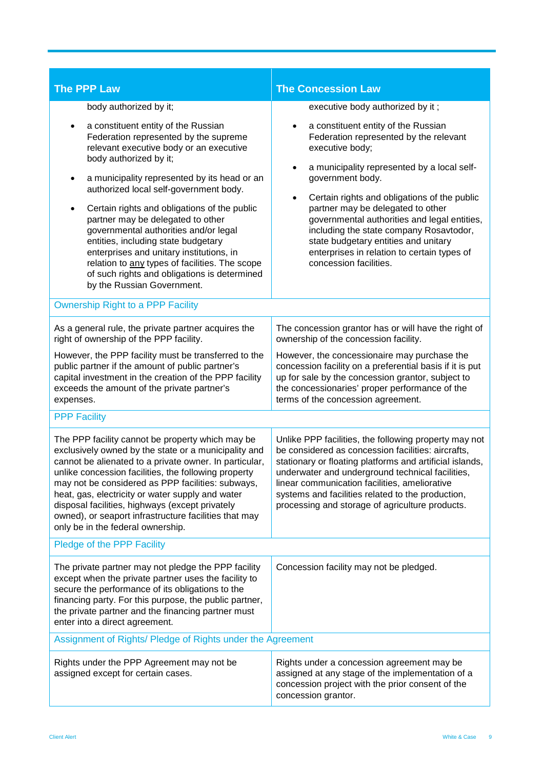| <b>The PPP Law</b>                                                                                                                                                                                                                                                                                                                                                                                                                                                                   | <b>The Concession Law</b>                                                                                                                                                                                                                                                                                                                                                            |  |
|--------------------------------------------------------------------------------------------------------------------------------------------------------------------------------------------------------------------------------------------------------------------------------------------------------------------------------------------------------------------------------------------------------------------------------------------------------------------------------------|--------------------------------------------------------------------------------------------------------------------------------------------------------------------------------------------------------------------------------------------------------------------------------------------------------------------------------------------------------------------------------------|--|
| body authorized by it;                                                                                                                                                                                                                                                                                                                                                                                                                                                               | executive body authorized by it;                                                                                                                                                                                                                                                                                                                                                     |  |
| a constituent entity of the Russian<br>Federation represented by the supreme<br>relevant executive body or an executive<br>body authorized by it;<br>a municipality represented by its head or an<br>$\bullet$<br>authorized local self-government body.<br>Certain rights and obligations of the public<br>partner may be delegated to other<br>governmental authorities and/or legal                                                                                               | a constituent entity of the Russian<br>Federation represented by the relevant<br>executive body;<br>a municipality represented by a local self-<br>$\bullet$<br>government body.<br>Certain rights and obligations of the public<br>$\bullet$<br>partner may be delegated to other<br>governmental authorities and legal entities,<br>including the state company Rosavtodor,        |  |
| entities, including state budgetary<br>enterprises and unitary institutions, in<br>relation to any types of facilities. The scope<br>of such rights and obligations is determined<br>by the Russian Government.                                                                                                                                                                                                                                                                      | state budgetary entities and unitary<br>enterprises in relation to certain types of<br>concession facilities.                                                                                                                                                                                                                                                                        |  |
| <b>Ownership Right to a PPP Facility</b>                                                                                                                                                                                                                                                                                                                                                                                                                                             |                                                                                                                                                                                                                                                                                                                                                                                      |  |
| As a general rule, the private partner acquires the<br>right of ownership of the PPP facility.                                                                                                                                                                                                                                                                                                                                                                                       | The concession grantor has or will have the right of<br>ownership of the concession facility.                                                                                                                                                                                                                                                                                        |  |
| However, the PPP facility must be transferred to the<br>public partner if the amount of public partner's<br>capital investment in the creation of the PPP facility<br>exceeds the amount of the private partner's<br>expenses.                                                                                                                                                                                                                                                       | However, the concessionaire may purchase the<br>concession facility on a preferential basis if it is put<br>up for sale by the concession grantor, subject to<br>the concessionaries' proper performance of the<br>terms of the concession agreement.                                                                                                                                |  |
| <b>PPP Facility</b>                                                                                                                                                                                                                                                                                                                                                                                                                                                                  |                                                                                                                                                                                                                                                                                                                                                                                      |  |
| The PPP facility cannot be property which may be<br>exclusively owned by the state or a municipality and<br>cannot be alienated to a private owner. In particular,<br>unlike concession facilities, the following property<br>may not be considered as PPP facilities: subways,<br>heat, gas, electricity or water supply and water<br>disposal facilities, highways (except privately<br>owned), or seaport infrastructure facilities that may<br>only be in the federal ownership. | Unlike PPP facilities, the following property may not<br>be considered as concession facilities: aircrafts,<br>stationary or floating platforms and artificial islands,<br>underwater and underground technical facilities,<br>linear communication facilities, ameliorative<br>systems and facilities related to the production,<br>processing and storage of agriculture products. |  |
| Pledge of the PPP Facility                                                                                                                                                                                                                                                                                                                                                                                                                                                           |                                                                                                                                                                                                                                                                                                                                                                                      |  |
| The private partner may not pledge the PPP facility<br>except when the private partner uses the facility to<br>secure the performance of its obligations to the<br>financing party. For this purpose, the public partner,<br>the private partner and the financing partner must<br>enter into a direct agreement.                                                                                                                                                                    | Concession facility may not be pledged.                                                                                                                                                                                                                                                                                                                                              |  |
| Assignment of Rights/ Pledge of Rights under the Agreement                                                                                                                                                                                                                                                                                                                                                                                                                           |                                                                                                                                                                                                                                                                                                                                                                                      |  |
| Rights under the PPP Agreement may not be<br>assigned except for certain cases.                                                                                                                                                                                                                                                                                                                                                                                                      | Rights under a concession agreement may be<br>assigned at any stage of the implementation of a<br>concession project with the prior consent of the<br>concession grantor.                                                                                                                                                                                                            |  |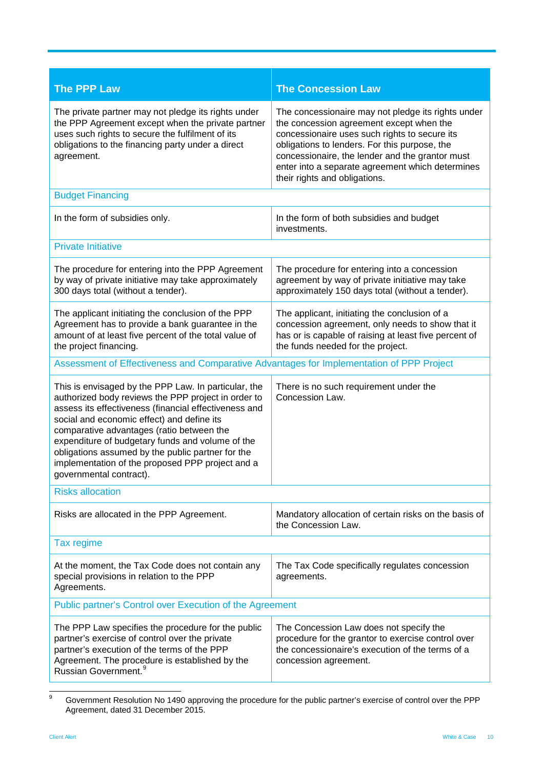| <b>The PPP Law</b>                                                                                                                                                                                                                                                                                                                                                                                                                                      | <b>The Concession Law</b>                                                                                                                                                                                                                                                                                                                |  |
|---------------------------------------------------------------------------------------------------------------------------------------------------------------------------------------------------------------------------------------------------------------------------------------------------------------------------------------------------------------------------------------------------------------------------------------------------------|------------------------------------------------------------------------------------------------------------------------------------------------------------------------------------------------------------------------------------------------------------------------------------------------------------------------------------------|--|
| The private partner may not pledge its rights under<br>the PPP Agreement except when the private partner<br>uses such rights to secure the fulfilment of its<br>obligations to the financing party under a direct<br>agreement.                                                                                                                                                                                                                         | The concessionaire may not pledge its rights under<br>the concession agreement except when the<br>concessionaire uses such rights to secure its<br>obligations to lenders. For this purpose, the<br>concessionaire, the lender and the grantor must<br>enter into a separate agreement which determines<br>their rights and obligations. |  |
| <b>Budget Financing</b>                                                                                                                                                                                                                                                                                                                                                                                                                                 |                                                                                                                                                                                                                                                                                                                                          |  |
| In the form of subsidies only.                                                                                                                                                                                                                                                                                                                                                                                                                          | In the form of both subsidies and budget<br>investments.                                                                                                                                                                                                                                                                                 |  |
| <b>Private Initiative</b>                                                                                                                                                                                                                                                                                                                                                                                                                               |                                                                                                                                                                                                                                                                                                                                          |  |
| The procedure for entering into the PPP Agreement<br>by way of private initiative may take approximately<br>300 days total (without a tender).                                                                                                                                                                                                                                                                                                          | The procedure for entering into a concession<br>agreement by way of private initiative may take<br>approximately 150 days total (without a tender).                                                                                                                                                                                      |  |
| The applicant initiating the conclusion of the PPP<br>Agreement has to provide a bank guarantee in the<br>amount of at least five percent of the total value of<br>the project financing.                                                                                                                                                                                                                                                               | The applicant, initiating the conclusion of a<br>concession agreement, only needs to show that it<br>has or is capable of raising at least five percent of<br>the funds needed for the project.                                                                                                                                          |  |
| Assessment of Effectiveness and Comparative Advantages for Implementation of PPP Project                                                                                                                                                                                                                                                                                                                                                                |                                                                                                                                                                                                                                                                                                                                          |  |
| This is envisaged by the PPP Law. In particular, the<br>authorized body reviews the PPP project in order to<br>assess its effectiveness (financial effectiveness and<br>social and economic effect) and define its<br>comparative advantages (ratio between the<br>expenditure of budgetary funds and volume of the<br>obligations assumed by the public partner for the<br>implementation of the proposed PPP project and a<br>governmental contract). | There is no such requirement under the<br>Concession Law.                                                                                                                                                                                                                                                                                |  |
| <b>Risks allocation</b>                                                                                                                                                                                                                                                                                                                                                                                                                                 |                                                                                                                                                                                                                                                                                                                                          |  |
| Risks are allocated in the PPP Agreement.                                                                                                                                                                                                                                                                                                                                                                                                               | Mandatory allocation of certain risks on the basis of<br>the Concession Law.                                                                                                                                                                                                                                                             |  |
| <b>Tax regime</b>                                                                                                                                                                                                                                                                                                                                                                                                                                       |                                                                                                                                                                                                                                                                                                                                          |  |
| At the moment, the Tax Code does not contain any<br>special provisions in relation to the PPP<br>Agreements.                                                                                                                                                                                                                                                                                                                                            | The Tax Code specifically regulates concession<br>agreements.                                                                                                                                                                                                                                                                            |  |
| Public partner's Control over Execution of the Agreement                                                                                                                                                                                                                                                                                                                                                                                                |                                                                                                                                                                                                                                                                                                                                          |  |
| The PPP Law specifies the procedure for the public<br>partner's exercise of control over the private<br>partner's execution of the terms of the PPP<br>Agreement. The procedure is established by the<br>Russian Government. <sup>9</sup>                                                                                                                                                                                                               | The Concession Law does not specify the<br>procedure for the grantor to exercise control over<br>the concessionaire's execution of the terms of a<br>concession agreement.                                                                                                                                                               |  |

<span id="page-9-0"></span> <sup>9</sup> Government Resolution No 1490 approving the procedure for the public partner's exercise of control over the PPP Agreement, dated 31 December 2015.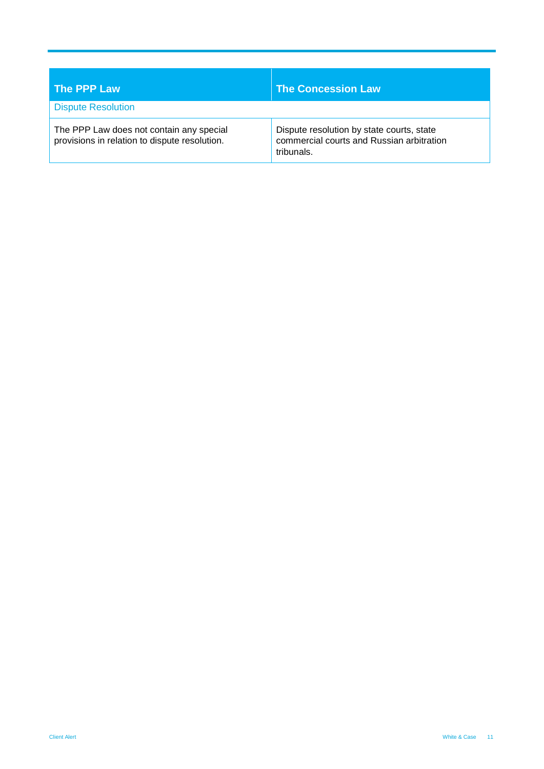| The PPP Law                                                                               | <b>The Concession Law</b>                                                                            |
|-------------------------------------------------------------------------------------------|------------------------------------------------------------------------------------------------------|
| <b>Dispute Resolution</b>                                                                 |                                                                                                      |
| The PPP Law does not contain any special<br>provisions in relation to dispute resolution. | Dispute resolution by state courts, state<br>commercial courts and Russian arbitration<br>tribunals. |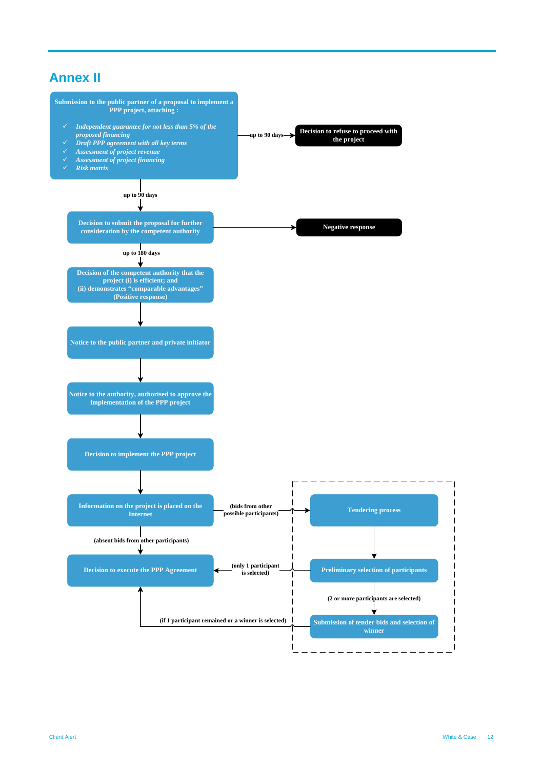## **Annex II**